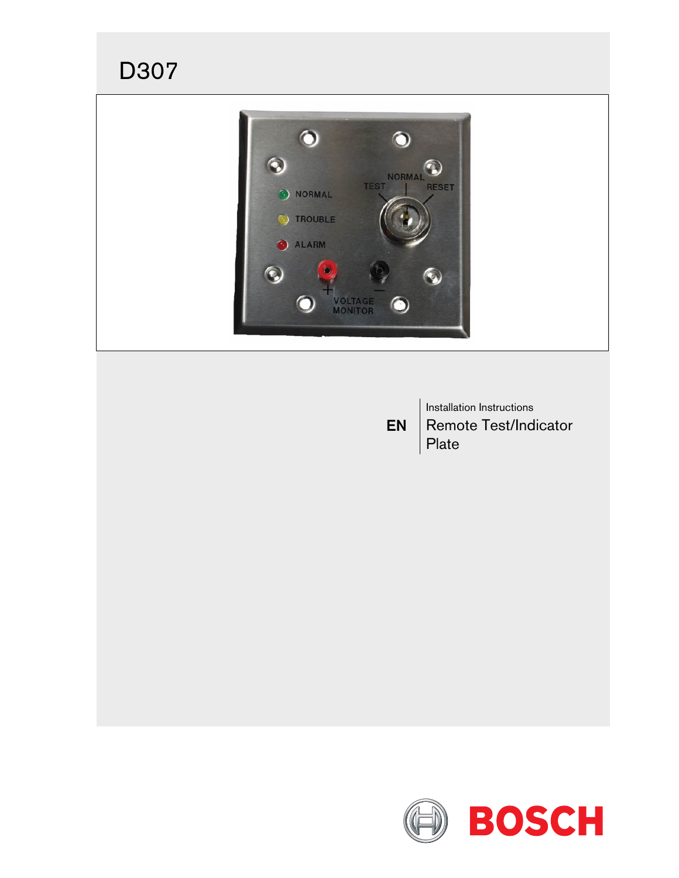

EN Installation Instructions Remote Test/Indicator Plate

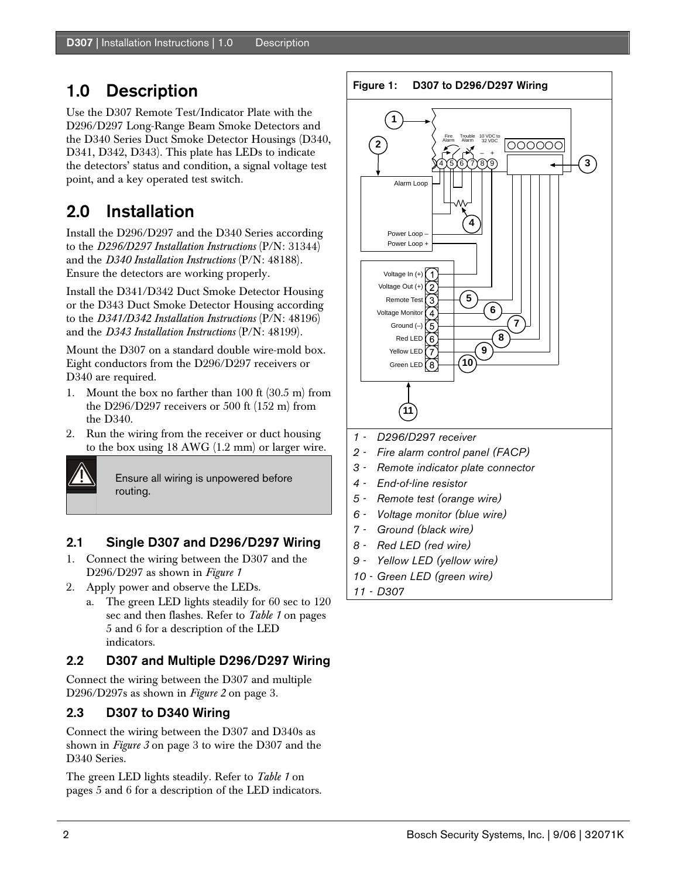## 1.0 Description

Use the D307 Remote Test/Indicator Plate with the D296/D297 Long-Range Beam Smoke Detectors and the D340 Series Duct Smoke Detector Housings (D340, D341, D342, D343). This plate has LEDs to indicate the detectors' status and condition, a signal voltage test point, and a key operated test switch.

# 2.0 Installation

Install the D296/D297 and the D340 Series according to the *D296/D297 Installation Instructions* (P/N: 31344) and the *D340 Installation Instructions* (P/N: 48188). Ensure the detectors are working properly.

Install the D341/D342 Duct Smoke Detector Housing or the D343 Duct Smoke Detector Housing according to the *D341/D342 Installation Instructions* (P/N: 48196) and the *D343 Installation Instructions* (P/N: 48199).

Mount the D307 on a standard double wire-mold box. Eight conductors from the D296/D297 receivers or D340 are required.

- 1. Mount the box no farther than 100 ft (30.5 m) from the D296/D297 receivers or 500 ft (152 m) from the D340.
- 2. Run the wiring from the receiver or duct housing to the box using 18 AWG (1.2 mm) or larger wire.

Ensure all wiring is unpowered before routing.

### 2.1 Single D307 and D296/D297 Wiring

- 1. Connect the wiring between the D307 and the D296/D297 as shown in *Figure 1*
- 2. Apply power and observe the LEDs.
	- a. The green LED lights steadily for 60 sec to 120 sec and then flashes. Refer to *Table 1* on pages 5 and 6 for a description of the LED indicators.

### 2.2 D307 and Multiple D296/D297 Wiring

Connect the wiring between the D307 and multiple D296/D297s as shown in *Figure 2* on page 3.

### 2.3 D307 to D340 Wiring

Connect the wiring between the D307 and D340s as shown in *Figure 3* on page 3 to wire the D307 and the D340 Series.

The green LED lights steadily. Refer to *Table 1* on pages 5 and 6 for a description of the LED indicators.



*11 - D307*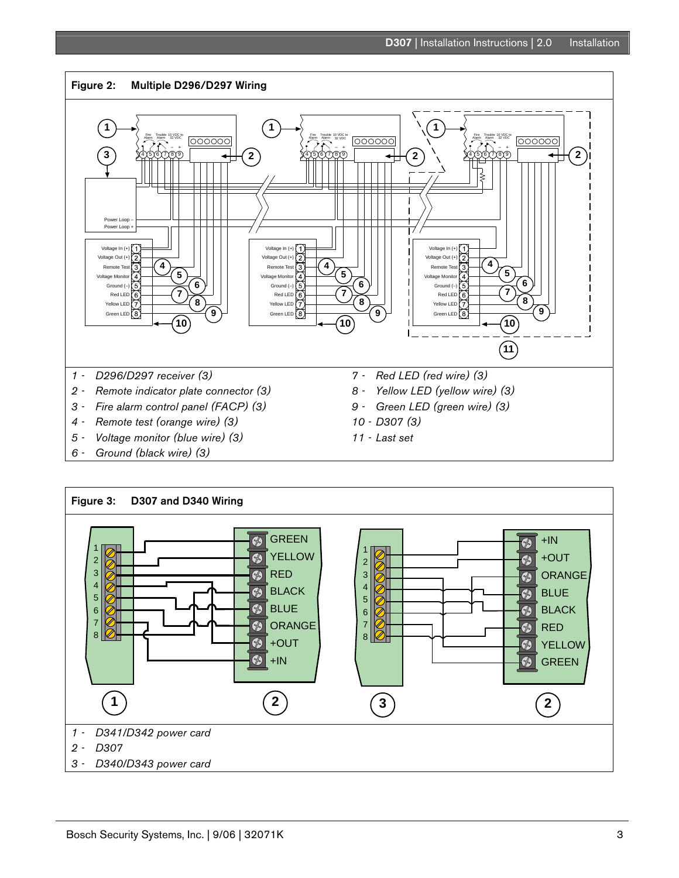

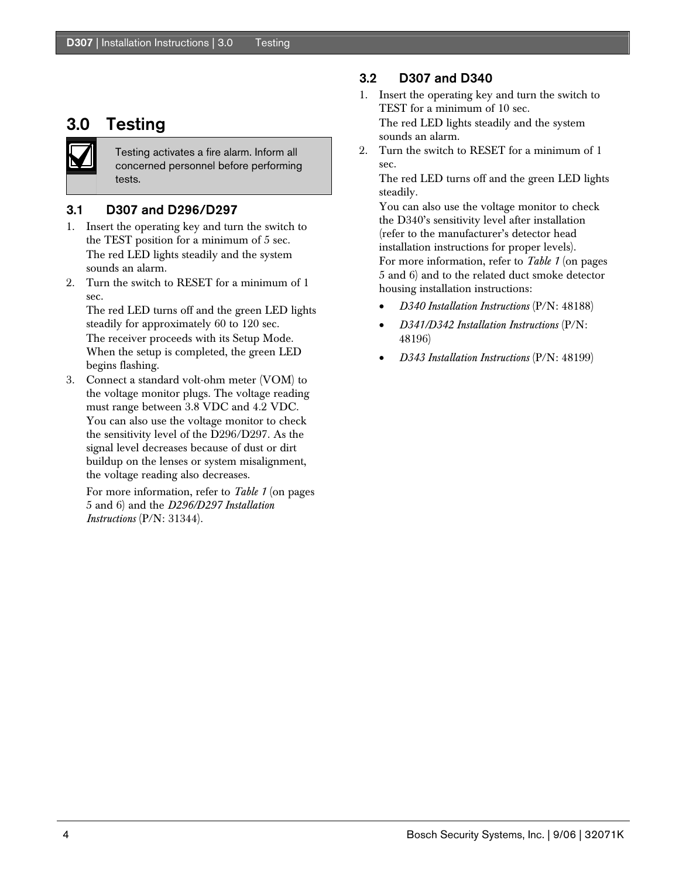## 3.0 Testing

Testing activates a fire alarm. Inform all concerned personnel before performing tests.

#### 3.1 D307 and D296/D297

- 1. Insert the operating key and turn the switch to the TEST position for a minimum of 5 sec. The red LED lights steadily and the system sounds an alarm.
- 2. Turn the switch to RESET for a minimum of 1 sec.

The red LED turns off and the green LED lights steadily for approximately 60 to 120 sec. The receiver proceeds with its Setup Mode. When the setup is completed, the green LED begins flashing.

3. Connect a standard volt-ohm meter (VOM) to the voltage monitor plugs. The voltage reading must range between 3.8 VDC and 4.2 VDC. You can also use the voltage monitor to check the sensitivity level of the D296/D297. As the signal level decreases because of dust or dirt buildup on the lenses or system misalignment, the voltage reading also decreases.

For more information, refer to *Table 1* (on pages 5 and 6) and the *D296/D297 Installation Instructions* (P/N: 31344).

#### 3.2 D307 and D340

- 1. Insert the operating key and turn the switch to TEST for a minimum of 10 sec. The red LED lights steadily and the system sounds an alarm.
- 2. Turn the switch to RESET for a minimum of 1 sec.

The red LED turns off and the green LED lights steadily.

You can also use the voltage monitor to check the D340's sensitivity level after installation (refer to the manufacturer's detector head installation instructions for proper levels). For more information, refer to *Table 1* (on pages 5 and 6) and to the related duct smoke detector housing installation instructions:

- *D340 Installation Instructions* (P/N: 48188)
- *D341/D342 Installation Instructions* (P/N: 48196)
- *D343 Installation Instructions* (P/N: 48199)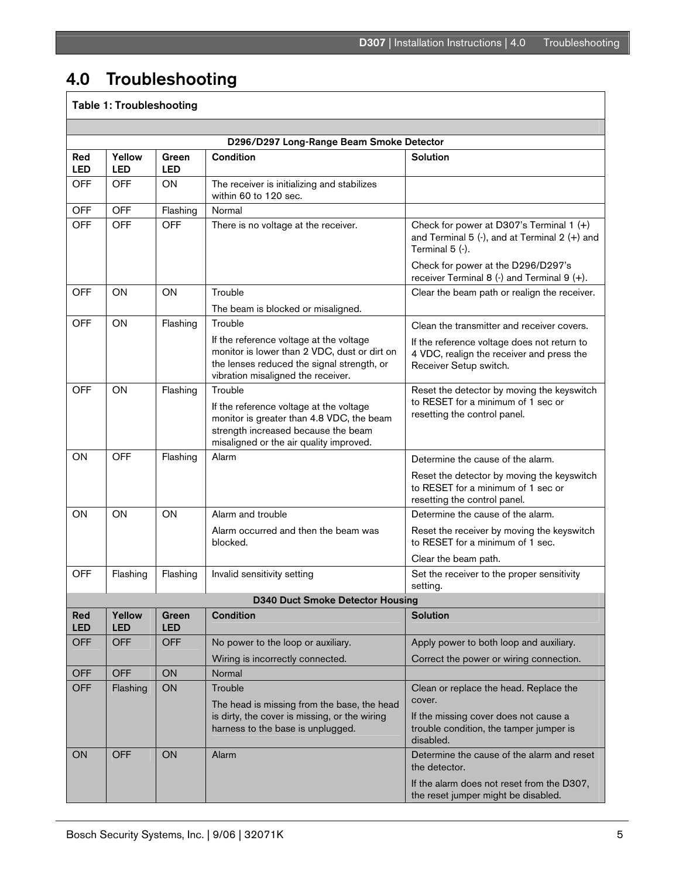# 4.0 Troubleshooting

## Table 1: Troubleshooting

| D296/D297 Long-Range Beam Smoke Detector |                      |                     |                                                                                                                                                                                   |                                                                                                                          |  |  |  |  |
|------------------------------------------|----------------------|---------------------|-----------------------------------------------------------------------------------------------------------------------------------------------------------------------------------|--------------------------------------------------------------------------------------------------------------------------|--|--|--|--|
| Red<br><b>LED</b>                        | Yellow<br><b>LED</b> | Green<br><b>LED</b> | Condition                                                                                                                                                                         | <b>Solution</b>                                                                                                          |  |  |  |  |
| <b>OFF</b>                               | <b>OFF</b>           | ON.                 | The receiver is initializing and stabilizes<br>within 60 to 120 sec.                                                                                                              |                                                                                                                          |  |  |  |  |
| <b>OFF</b>                               | <b>OFF</b>           | Flashing            | Normal                                                                                                                                                                            |                                                                                                                          |  |  |  |  |
| <b>OFF</b>                               | <b>OFF</b>           | <b>OFF</b>          | There is no voltage at the receiver.                                                                                                                                              | Check for power at D307's Terminal 1 $(+)$<br>and Terminal 5 $($ -), and at Terminal 2 $(+)$ and<br>Terminal $5$ $($ .). |  |  |  |  |
|                                          |                      |                     |                                                                                                                                                                                   | Check for power at the D296/D297's<br>receiver Terminal $8$ (-) and Terminal $9$ (+).                                    |  |  |  |  |
| <b>OFF</b>                               | ON                   | ON                  | Trouble<br>The beam is blocked or misaligned.                                                                                                                                     | Clear the beam path or realign the receiver.                                                                             |  |  |  |  |
| <b>OFF</b>                               | ON                   | Flashing            | Trouble                                                                                                                                                                           | Clean the transmitter and receiver covers.                                                                               |  |  |  |  |
|                                          |                      |                     | If the reference voltage at the voltage<br>monitor is lower than 2 VDC, dust or dirt on<br>the lenses reduced the signal strength, or<br>vibration misaligned the receiver.       | If the reference voltage does not return to<br>4 VDC, realign the receiver and press the<br>Receiver Setup switch.       |  |  |  |  |
| <b>OFF</b>                               | ON                   | Flashing            | Trouble<br>If the reference voltage at the voltage<br>monitor is greater than 4.8 VDC, the beam<br>strength increased because the beam<br>misaligned or the air quality improved. | Reset the detector by moving the keyswitch<br>to RESET for a minimum of 1 sec or<br>resetting the control panel.         |  |  |  |  |
| ON                                       | <b>OFF</b>           | Flashing            | Alarm                                                                                                                                                                             | Determine the cause of the alarm.                                                                                        |  |  |  |  |
|                                          |                      |                     |                                                                                                                                                                                   | Reset the detector by moving the keyswitch<br>to RESET for a minimum of 1 sec or<br>resetting the control panel.         |  |  |  |  |
| ΟN                                       | ON                   | ON                  | Alarm and trouble                                                                                                                                                                 | Determine the cause of the alarm.                                                                                        |  |  |  |  |
|                                          |                      |                     | Alarm occurred and then the beam was<br>blocked.                                                                                                                                  | Reset the receiver by moving the keyswitch<br>to RESET for a minimum of 1 sec.                                           |  |  |  |  |
|                                          |                      |                     |                                                                                                                                                                                   | Clear the beam path.                                                                                                     |  |  |  |  |
| OFF                                      | Flashing             | Flashing            | Invalid sensitivity setting                                                                                                                                                       | Set the receiver to the proper sensitivity<br>setting.                                                                   |  |  |  |  |
| <b>D340 Duct Smoke Detector Housing</b>  |                      |                     |                                                                                                                                                                                   |                                                                                                                          |  |  |  |  |
| Red<br><b>LED</b>                        | Yellow<br><b>LED</b> | Green<br><b>LED</b> | <b>Condition</b>                                                                                                                                                                  | <b>Solution</b>                                                                                                          |  |  |  |  |
| <b>OFF</b>                               | <b>OFF</b>           | <b>OFF</b>          | No power to the loop or auxiliary.                                                                                                                                                | Apply power to both loop and auxiliary.                                                                                  |  |  |  |  |
| <b>OFF</b>                               | <b>OFF</b>           | ON                  | Wiring is incorrectly connected.<br>Normal                                                                                                                                        | Correct the power or wiring connection.                                                                                  |  |  |  |  |
| <b>OFF</b>                               | Flashing             | ON                  | Trouble                                                                                                                                                                           | Clean or replace the head. Replace the                                                                                   |  |  |  |  |
|                                          |                      |                     | The head is missing from the base, the head                                                                                                                                       | cover.                                                                                                                   |  |  |  |  |
|                                          |                      |                     | is dirty, the cover is missing, or the wiring<br>harness to the base is unplugged.                                                                                                | If the missing cover does not cause a<br>trouble condition, the tamper jumper is<br>disabled.                            |  |  |  |  |
| ON                                       | <b>OFF</b>           | ON                  | Alarm                                                                                                                                                                             | Determine the cause of the alarm and reset<br>the detector.                                                              |  |  |  |  |
|                                          |                      |                     |                                                                                                                                                                                   | If the alarm does not reset from the D307,<br>the reset jumper might be disabled.                                        |  |  |  |  |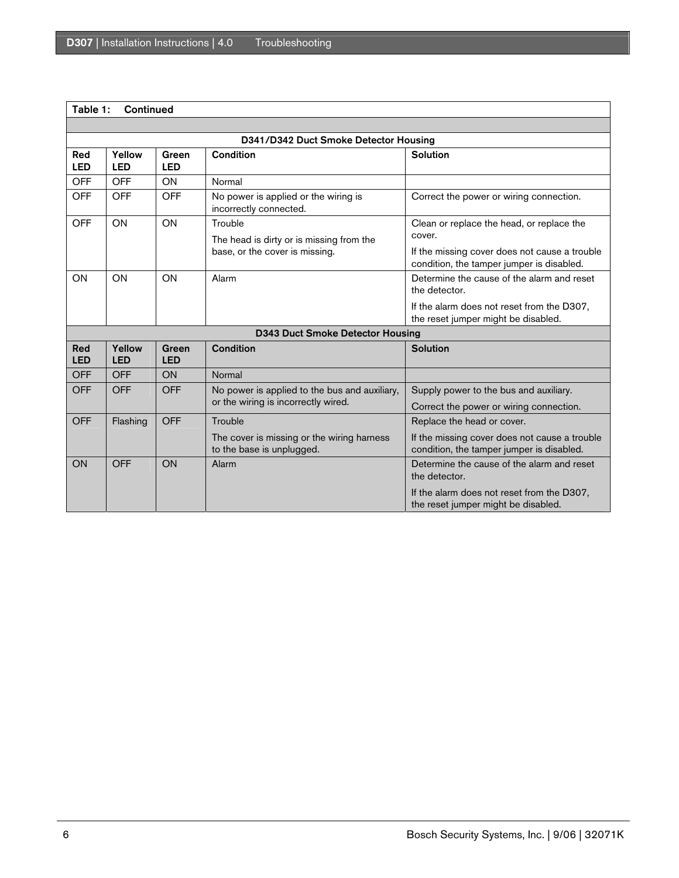#### Table 1: Continued

| D341/D342 Duct Smoke Detector Housing   |                      |                     |                                                                                       |                                                                                                                                                   |  |  |  |
|-----------------------------------------|----------------------|---------------------|---------------------------------------------------------------------------------------|---------------------------------------------------------------------------------------------------------------------------------------------------|--|--|--|
| Red<br><b>LED</b>                       | Yellow<br><b>LED</b> | Green<br>LED        | Condition                                                                             | Solution                                                                                                                                          |  |  |  |
| <b>OFF</b>                              | <b>OFF</b>           | <b>ON</b>           | Normal                                                                                |                                                                                                                                                   |  |  |  |
| <b>OFF</b>                              | <b>OFF</b>           | <b>OFF</b>          | No power is applied or the wiring is<br>incorrectly connected.                        | Correct the power or wiring connection.                                                                                                           |  |  |  |
| <b>OFF</b>                              | ON                   | ON                  | Trouble<br>The head is dirty or is missing from the<br>base, or the cover is missing. | Clean or replace the head, or replace the<br>cover.<br>If the missing cover does not cause a trouble<br>condition, the tamper jumper is disabled. |  |  |  |
| ON                                      | ON                   | ON                  | Alarm                                                                                 | Determine the cause of the alarm and reset<br>the detector.                                                                                       |  |  |  |
|                                         |                      |                     |                                                                                       | If the alarm does not reset from the D307,<br>the reset jumper might be disabled.                                                                 |  |  |  |
| <b>D343 Duct Smoke Detector Housing</b> |                      |                     |                                                                                       |                                                                                                                                                   |  |  |  |
| Red<br><b>LED</b>                       | Yellow<br><b>LED</b> | Green<br><b>LED</b> | Condition                                                                             | Solution                                                                                                                                          |  |  |  |
| <b>OFF</b>                              | <b>OFF</b>           | ON                  | Normal                                                                                |                                                                                                                                                   |  |  |  |
| <b>OFF</b>                              | <b>OFF</b>           | <b>OFF</b>          | No power is applied to the bus and auxiliary,<br>or the wiring is incorrectly wired.  | Supply power to the bus and auxiliary.                                                                                                            |  |  |  |
|                                         |                      |                     |                                                                                       | Correct the power or wiring connection.                                                                                                           |  |  |  |
| <b>OFF</b>                              | Flashing             | <b>OFF</b>          | Trouble                                                                               | Replace the head or cover.                                                                                                                        |  |  |  |
|                                         |                      |                     | The cover is missing or the wiring harness<br>to the base is unplugged.               | If the missing cover does not cause a trouble<br>condition, the tamper jumper is disabled.                                                        |  |  |  |
| ON                                      | <b>OFF</b>           | ON                  | Alarm                                                                                 | Determine the cause of the alarm and reset<br>the detector.                                                                                       |  |  |  |
|                                         |                      |                     |                                                                                       | If the alarm does not reset from the D307,<br>the reset jumper might be disabled.                                                                 |  |  |  |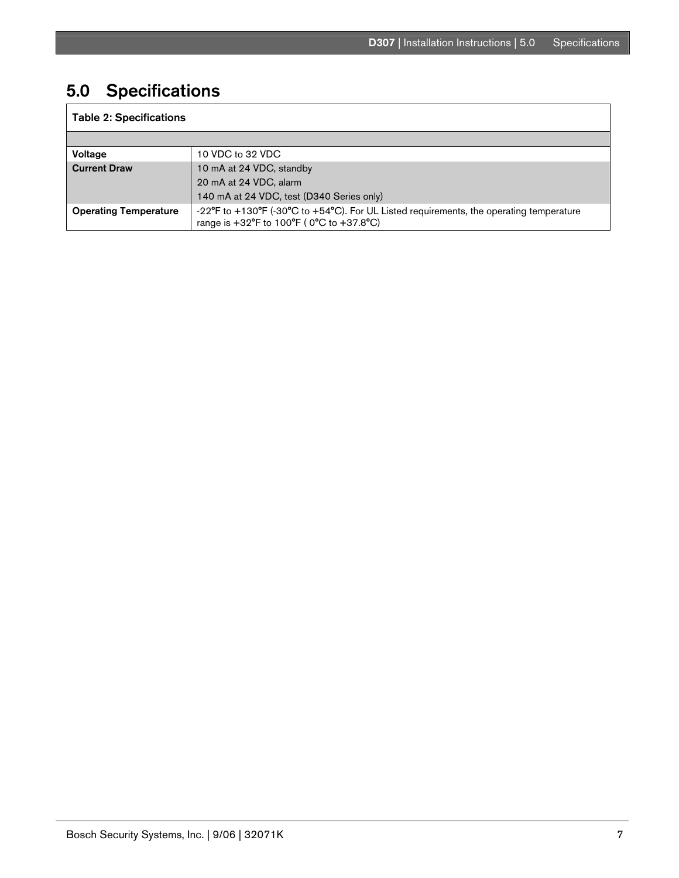# 5.0 Specifications

| <b>Table 2: Specifications</b> |                                                                                                                                                                                             |  |  |  |  |
|--------------------------------|---------------------------------------------------------------------------------------------------------------------------------------------------------------------------------------------|--|--|--|--|
|                                |                                                                                                                                                                                             |  |  |  |  |
| Voltage                        | 10 VDC to 32 VDC                                                                                                                                                                            |  |  |  |  |
| <b>Current Draw</b>            | 10 mA at 24 VDC, standby                                                                                                                                                                    |  |  |  |  |
|                                | 20 mA at 24 VDC, alarm                                                                                                                                                                      |  |  |  |  |
|                                | 140 mA at 24 VDC, test (D340 Series only)                                                                                                                                                   |  |  |  |  |
| <b>Operating Temperature</b>   | -22 $\textdegree$ F to +130 $\textdegree$ F (-30 $\textdegree$ C to +54 $\textdegree$ C). For UL Listed requirements, the operating temperature<br>range is +32°F to 100°F (0°C to +37.8°C) |  |  |  |  |